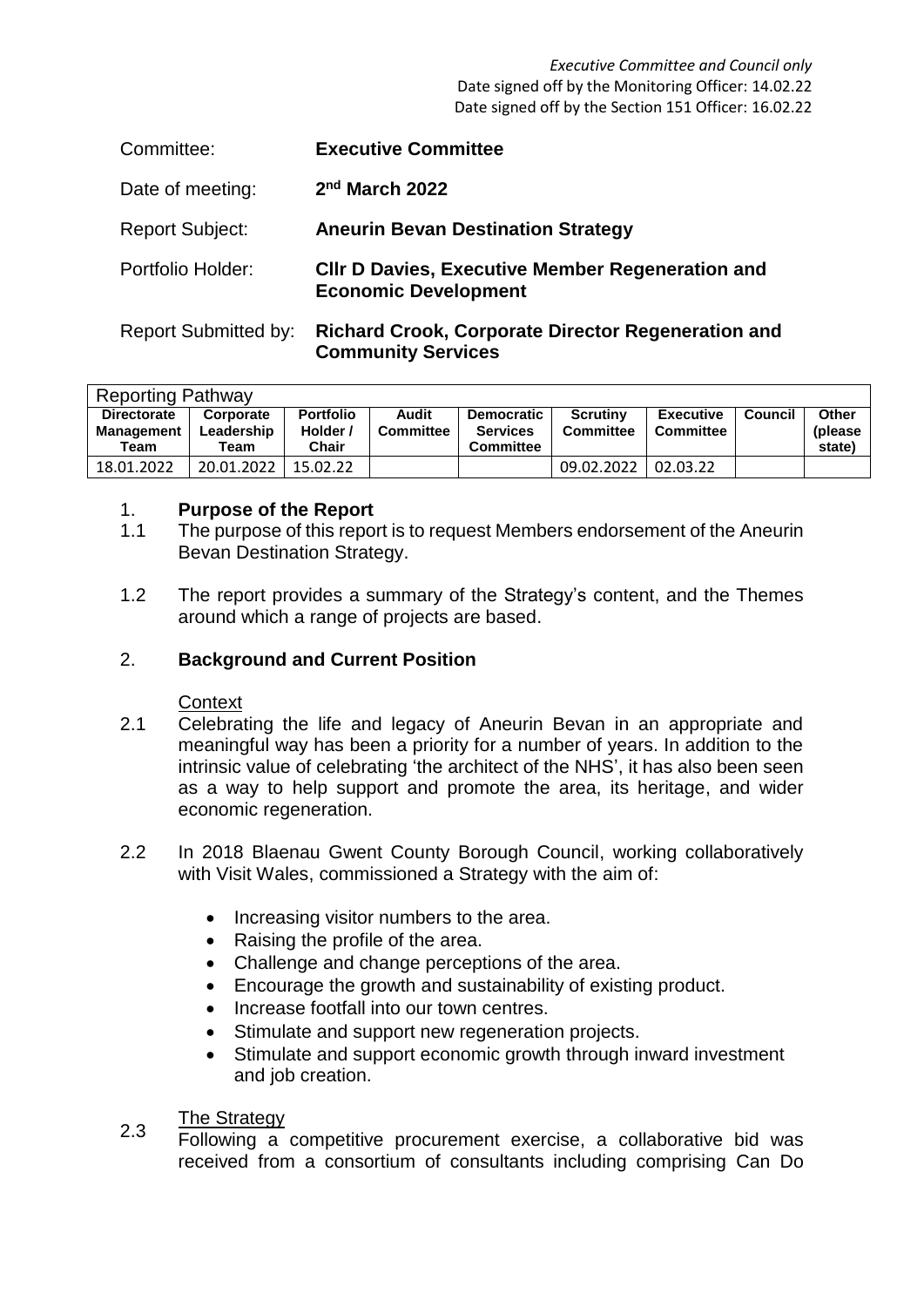*Executive Committee and Council only* Date signed off by the Monitoring Officer: 14.02.22 Date signed off by the Section 151 Officer: 16.02.22

| Committee:             | <b>Executive Committee</b>                                                             |
|------------------------|----------------------------------------------------------------------------------------|
| Date of meeting:       | $2nd$ March 2022                                                                       |
| <b>Report Subject:</b> | <b>Aneurin Bevan Destination Strategy</b>                                              |
| Portfolio Holder:      | <b>CIIr D Davies, Executive Member Regeneration and</b><br><b>Economic Development</b> |

Report Submitted by: **Richard Crook, Corporate Director Regeneration and Community Services**

| <b>Reporting Pathway</b> |            |                  |                  |                   |                  |                  |         |          |  |  |
|--------------------------|------------|------------------|------------------|-------------------|------------------|------------------|---------|----------|--|--|
| <b>Directorate</b>       | Corporate  | <b>Portfolio</b> | Audit            | <b>Democratic</b> | <b>Scrutiny</b>  | <b>Executive</b> | Council | Other    |  |  |
| <b>Management</b>        | Leadership | Holder /         | <b>Committee</b> | <b>Services</b>   | <b>Committee</b> | <b>Committee</b> |         | (please) |  |  |
| Team                     | Team       | Chair            |                  | <b>Committee</b>  |                  |                  |         | state)   |  |  |
| 18.01.2022               | 20.01.2022 | 15.02.22         |                  |                   | 09.02.2022       | 02.03.22         |         |          |  |  |

### 1. **Purpose of the Report**

- 1.1 The purpose of this report is to request Members endorsement of the Aneurin Bevan Destination Strategy.
- 1.2 The report provides a summary of the Strategy's content, and the Themes around which a range of projects are based.

# 2. **Background and Current Position**

# **Context**

- 2.1 Celebrating the life and legacy of Aneurin Bevan in an appropriate and meaningful way has been a priority for a number of years. In addition to the intrinsic value of celebrating 'the architect of the NHS', it has also been seen as a way to help support and promote the area, its heritage, and wider economic regeneration.
- 2.2 In 2018 Blaenau Gwent County Borough Council, working collaboratively with Visit Wales, commissioned a Strategy with the aim of:
	- Increasing visitor numbers to the area.
	- Raising the profile of the area.
	- Challenge and change perceptions of the area.
	- Encourage the growth and sustainability of existing product.
	- Increase footfall into our town centres.
	- Stimulate and support new regeneration projects.
	- Stimulate and support economic growth through inward investment and job creation.

### 2.3 The Strategy

Following a competitive procurement exercise, a collaborative bid was received from a consortium of consultants including comprising Can Do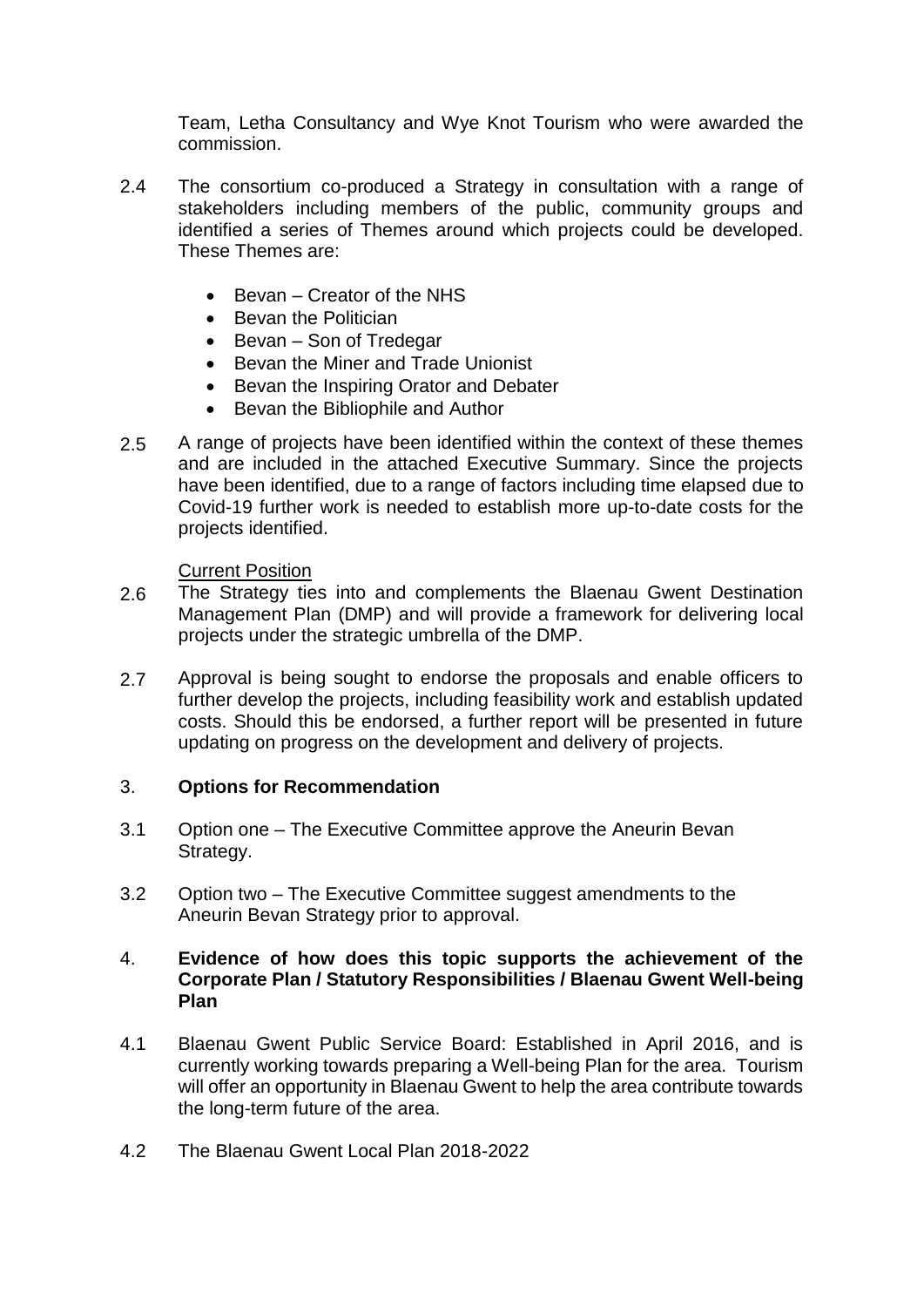Team, Letha Consultancy and Wye Knot Tourism who were awarded the commission.

- 2.4 The consortium co-produced a Strategy in consultation with a range of stakeholders including members of the public, community groups and identified a series of Themes around which projects could be developed. These Themes are:
	- Bevan Creator of the NHS
	- Bevan the Politician
	- Bevan Son of Tredegar
	- Bevan the Miner and Trade Unionist
	- Bevan the Inspiring Orator and Debater
	- Bevan the Bibliophile and Author
- 2.5 A range of projects have been identified within the context of these themes and are included in the attached Executive Summary. Since the projects have been identified, due to a range of factors including time elapsed due to Covid-19 further work is needed to establish more up-to-date costs for the projects identified.

# Current Position

- 2.6 The Strategy ties into and complements the Blaenau Gwent Destination Management Plan (DMP) and will provide a framework for delivering local projects under the strategic umbrella of the DMP.
- 2.7 Approval is being sought to endorse the proposals and enable officers to further develop the projects, including feasibility work and establish updated costs. Should this be endorsed, a further report will be presented in future updating on progress on the development and delivery of projects.

# 3. **Options for Recommendation**

- 3.1 Option one – The Executive Committee approve the Aneurin Bevan Strategy.
- 3.2 Option two – The Executive Committee suggest amendments to the Aneurin Bevan Strategy prior to approval.

### 4. **Evidence of how does this topic supports the achievement of the Corporate Plan / Statutory Responsibilities / Blaenau Gwent Well-being Plan**

- 4.1 Blaenau Gwent Public Service Board: Established in April 2016, and is currently working towards preparing a Well-being Plan for the area. Tourism will offer an opportunity in Blaenau Gwent to help the area contribute towards the long-term future of the area.
- 4.2 The Blaenau Gwent Local Plan 2018-2022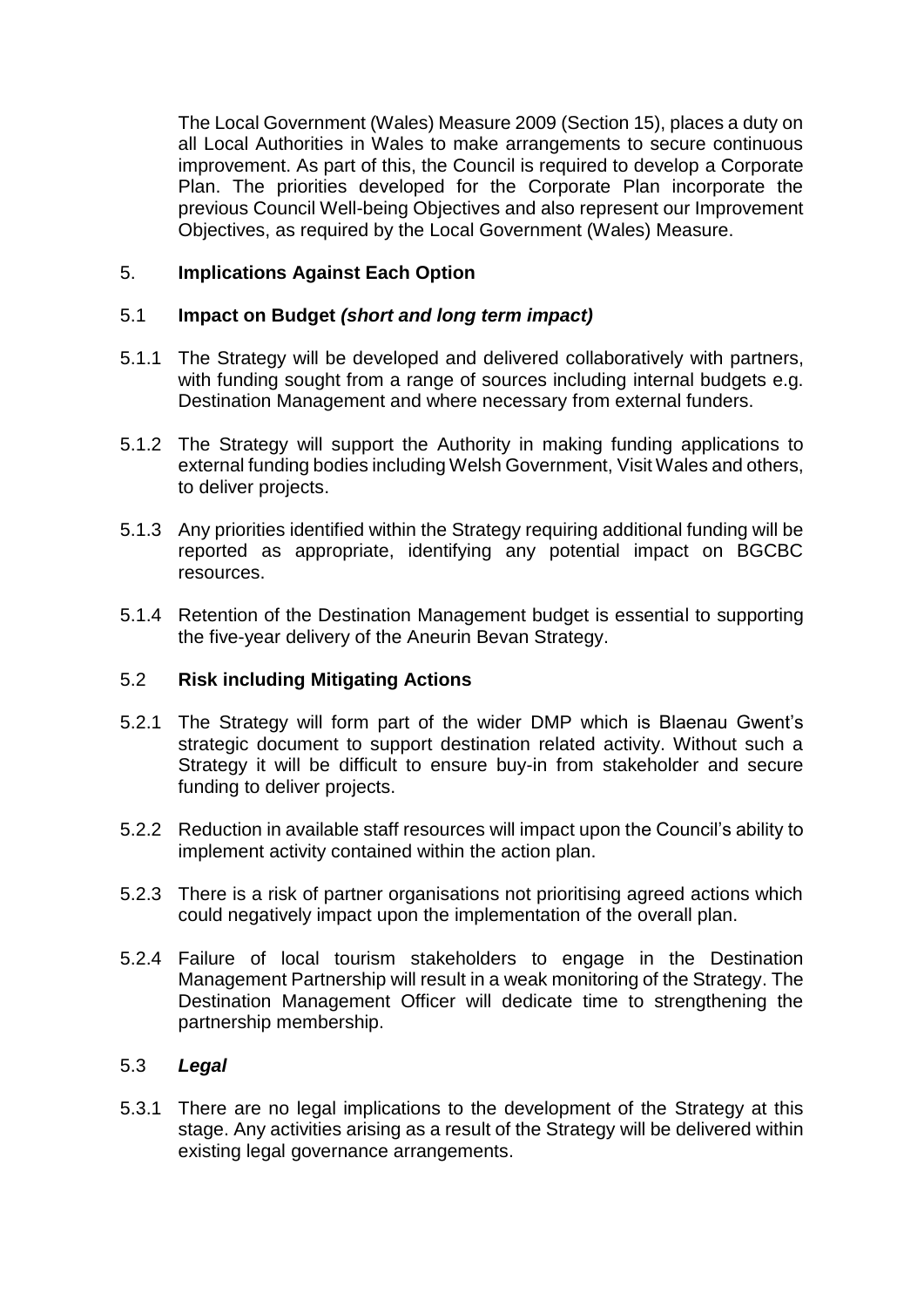The Local Government (Wales) Measure 2009 (Section 15), places a duty on all Local Authorities in Wales to make arrangements to secure continuous improvement. As part of this, the Council is required to develop a Corporate Plan. The priorities developed for the Corporate Plan incorporate the previous Council Well-being Objectives and also represent our Improvement Objectives, as required by the Local Government (Wales) Measure.

# 5. **Implications Against Each Option**

### 5.1 **Impact on Budget** *(short and long term impact)*

- 5.1.1 The Strategy will be developed and delivered collaboratively with partners, with funding sought from a range of sources including internal budgets e.g. Destination Management and where necessary from external funders.
- 5.1.2 The Strategy will support the Authority in making funding applications to external funding bodies including Welsh Government, Visit Wales and others, to deliver projects.
- 5.1.3 Any priorities identified within the Strategy requiring additional funding will be reported as appropriate, identifying any potential impact on BGCBC resources.
- 5.1.4 Retention of the Destination Management budget is essential to supporting the five-year delivery of the Aneurin Bevan Strategy.

### 5.2 **Risk including Mitigating Actions**

- 5.2.1 The Strategy will form part of the wider DMP which is Blaenau Gwent's strategic document to support destination related activity. Without such a Strategy it will be difficult to ensure buy-in from stakeholder and secure funding to deliver projects.
- 5.2.2 Reduction in available staff resources will impact upon the Council's ability to implement activity contained within the action plan.
- 5.2.3 There is a risk of partner organisations not prioritising agreed actions which could negatively impact upon the implementation of the overall plan.
- 5.2.4 Failure of local tourism stakeholders to engage in the Destination Management Partnership will result in a weak monitoring of the Strategy. The Destination Management Officer will dedicate time to strengthening the partnership membership.

### 5.3 *Legal*

5.3.1 There are no legal implications to the development of the Strategy at this stage. Any activities arising as a result of the Strategy will be delivered within existing legal governance arrangements.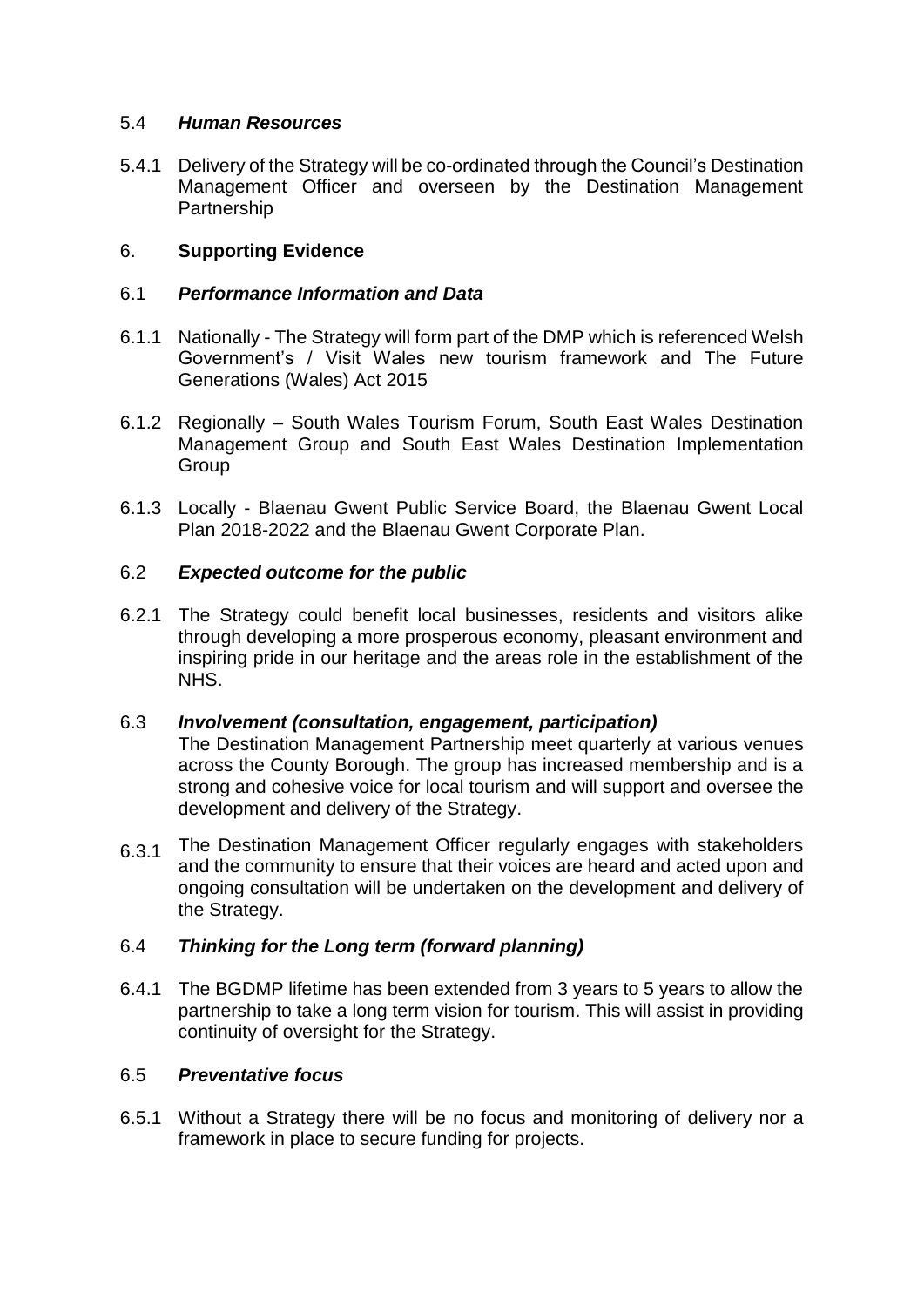### 5.4 *Human Resources*

5.4.1 Delivery of the Strategy will be co-ordinated through the Council's Destination Management Officer and overseen by the Destination Management Partnership

# 6. **Supporting Evidence**

### 6.1 *Performance Information and Data*

- 6.1.1 Nationally The Strategy will form part of the DMP which is referenced Welsh Government's / Visit Wales new tourism framework and The Future Generations (Wales) Act 2015
- 6.1.2 Regionally South Wales Tourism Forum, South East Wales Destination Management Group and South East Wales Destination Implementation **Group**
- 6.1.3 Locally Blaenau Gwent Public Service Board, the Blaenau Gwent Local Plan 2018-2022 and the Blaenau Gwent Corporate Plan.

### 6.2 *Expected outcome for the public*

6.2.1 The Strategy could benefit local businesses, residents and visitors alike through developing a more prosperous economy, pleasant environment and inspiring pride in our heritage and the areas role in the establishment of the NHS.

### 6.3 *Involvement (consultation, engagement, participation)*

The Destination Management Partnership meet quarterly at various venues across the County Borough. The group has increased membership and is a strong and cohesive voice for local tourism and will support and oversee the development and delivery of the Strategy.

6.3.1 The Destination Management Officer regularly engages with stakeholders and the community to ensure that their voices are heard and acted upon and ongoing consultation will be undertaken on the development and delivery of the Strategy.

### 6.4 *Thinking for the Long term (forward planning)*

6.4.1 The BGDMP lifetime has been extended from 3 years to 5 years to allow the partnership to take a long term vision for tourism. This will assist in providing continuity of oversight for the Strategy.

### 6.5 *Preventative focus*

6.5.1 Without a Strategy there will be no focus and monitoring of delivery nor a framework in place to secure funding for projects.